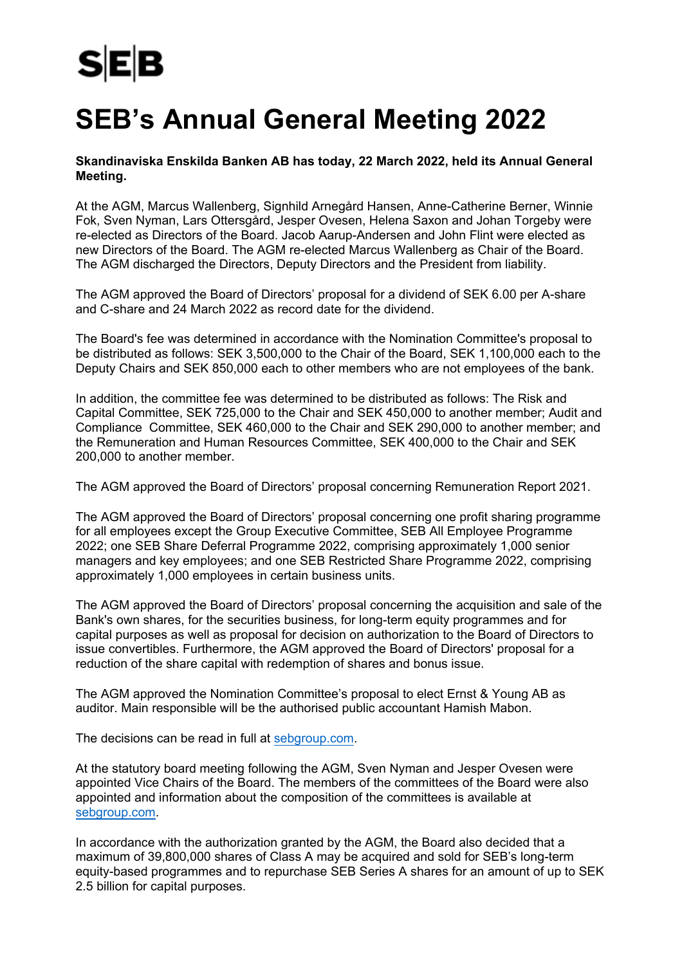## **SEB's Annual General Meeting 2022**

## **Skandinaviska Enskilda Banken AB has today, 22 March 2022, held its Annual General Meeting.**

At the AGM, Marcus Wallenberg, Signhild Arnegård Hansen, Anne-Catherine Berner, Winnie Fok, Sven Nyman, Lars Ottersgård, Jesper Ovesen, Helena Saxon and Johan Torgeby were re-elected as Directors of the Board. Jacob Aarup-Andersen and John Flint were elected as new Directors of the Board. The AGM re-elected Marcus Wallenberg as Chair of the Board. The AGM discharged the Directors, Deputy Directors and the President from liability.

The AGM approved the Board of Directors' proposal for a dividend of SEK 6.00 per A-share and C-share and 24 March 2022 as record date for the dividend.

The Board's fee was determined in accordance with the Nomination Committee's proposal to be distributed as follows: SEK 3,500,000 to the Chair of the Board, SEK 1,100,000 each to the Deputy Chairs and SEK 850,000 each to other members who are not employees of the bank.

In addition, the committee fee was determined to be distributed as follows: The Risk and Capital Committee, SEK 725,000 to the Chair and SEK 450,000 to another member; Audit and Compliance Committee, SEK 460,000 to the Chair and SEK 290,000 to another member; and the Remuneration and Human Resources Committee, SEK 400,000 to the Chair and SEK 200,000 to another member.

The AGM approved the Board of Directors' proposal concerning Remuneration Report 2021.

The AGM approved the Board of Directors' proposal concerning one profit sharing programme for all employees except the Group Executive Committee, SEB All Employee Programme 2022; one SEB Share Deferral Programme 2022, comprising approximately 1,000 senior managers and key employees; and one SEB Restricted Share Programme 2022, comprising approximately 1,000 employees in certain business units.

The AGM approved the Board of Directors' proposal concerning the acquisition and sale of the Bank's own shares, for the securities business, for long-term equity programmes and for capital purposes as well as proposal for decision on authorization to the Board of Directors to issue convertibles. Furthermore, the AGM approved the Board of Directors' proposal for a reduction of the share capital with redemption of shares and bonus issue.

The AGM approved the Nomination Committee's proposal to elect Ernst & Young AB as auditor. Main responsible will be the authorised public accountant Hamish Mabon.

The decisions can be read in full at [sebgroup.com.](http://www.sebgroup.com/)

At the statutory board meeting following the AGM, Sven Nyman and Jesper Ovesen were appointed Vice Chairs of the Board. The members of the committees of the Board were also appointed and information about the composition of the committees is available at [sebgroup.com.](http://www.sebgroup.com/)

In accordance with the authorization granted by the AGM, the Board also decided that a maximum of 39,800,000 shares of Class A may be acquired and sold for SEB's long-term equity-based programmes and to repurchase SEB Series A shares for an amount of up to SEK 2.5 billion for capital purposes.